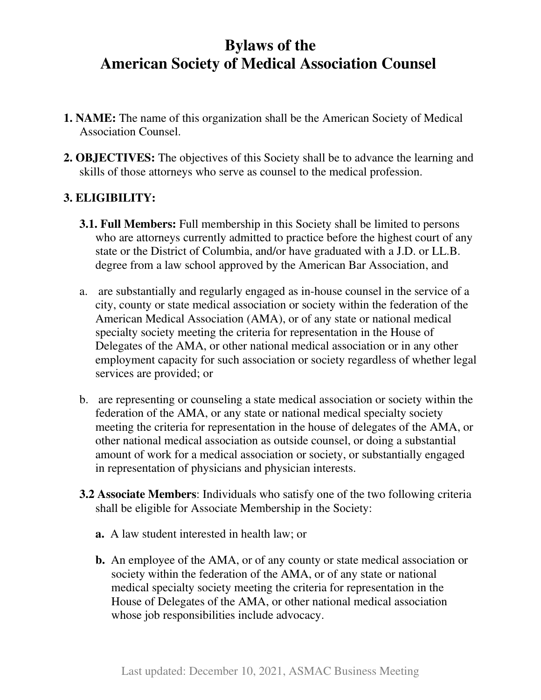# **Bylaws of the American Society of Medical Association Counsel**

- **1. NAME:** The name of this organization shall be the American Society of Medical Association Counsel.
- **2. OBJECTIVES:** The objectives of this Society shall be to advance the learning and skills of those attorneys who serve as counsel to the medical profession.

## **3. ELIGIBILITY:**

- **3.1. Full Members:** Full membership in this Society shall be limited to persons who are attorneys currently admitted to practice before the highest court of any state or the District of Columbia, and/or have graduated with a J.D. or LL.B. degree from a law school approved by the American Bar Association, and
- a. are substantially and regularly engaged as in-house counsel in the service of a city, county or state medical association or society within the federation of the American Medical Association (AMA), or of any state or national medical specialty society meeting the criteria for representation in the House of Delegates of the AMA, or other national medical association or in any other employment capacity for such association or society regardless of whether legal services are provided; or
- b. are representing or counseling a state medical association or society within the federation of the AMA, or any state or national medical specialty society meeting the criteria for representation in the house of delegates of the AMA, or other national medical association as outside counsel, or doing a substantial amount of work for a medical association or society, or substantially engaged in representation of physicians and physician interests.
- **3.2 Associate Members**: Individuals who satisfy one of the two following criteria shall be eligible for Associate Membership in the Society:
	- **a.** A law student interested in health law; or
	- **b.** An employee of the AMA, or of any county or state medical association or society within the federation of the AMA, or of any state or national medical specialty society meeting the criteria for representation in the House of Delegates of the AMA, or other national medical association whose job responsibilities include advocacy.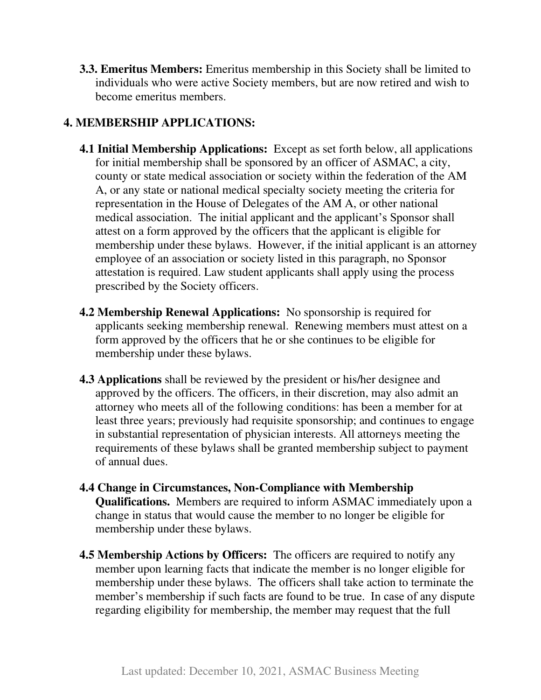**3.3. Emeritus Members:** Emeritus membership in this Society shall be limited to individuals who were active Society members, but are now retired and wish to become emeritus members.

## **4. MEMBERSHIP APPLICATIONS:**

- **4.1 Initial Membership Applications:** Except as set forth below, all applications for initial membership shall be sponsored by an officer of ASMAC, a city, county or state medical association or society within the federation of the AM A, or any state or national medical specialty society meeting the criteria for representation in the House of Delegates of the AM A, or other national medical association. The initial applicant and the applicant's Sponsor shall attest on a form approved by the officers that the applicant is eligible for membership under these bylaws. However, if the initial applicant is an attorney employee of an association or society listed in this paragraph, no Sponsor attestation is required. Law student applicants shall apply using the process prescribed by the Society officers.
- **4.2 Membership Renewal Applications:** No sponsorship is required for applicants seeking membership renewal. Renewing members must attest on a form approved by the officers that he or she continues to be eligible for membership under these bylaws.
- **4.3 Applications** shall be reviewed by the president or his/her designee and approved by the officers. The officers, in their discretion, may also admit an attorney who meets all of the following conditions: has been a member for at least three years; previously had requisite sponsorship; and continues to engage in substantial representation of physician interests. All attorneys meeting the requirements of these bylaws shall be granted membership subject to payment of annual dues.
- **4.4 Change in Circumstances, Non-Compliance with Membership Qualifications.** Members are required to inform ASMAC immediately upon a change in status that would cause the member to no longer be eligible for membership under these bylaws.
- **4.5 Membership Actions by Officers:** The officers are required to notify any member upon learning facts that indicate the member is no longer eligible for membership under these bylaws. The officers shall take action to terminate the member's membership if such facts are found to be true. In case of any dispute regarding eligibility for membership, the member may request that the full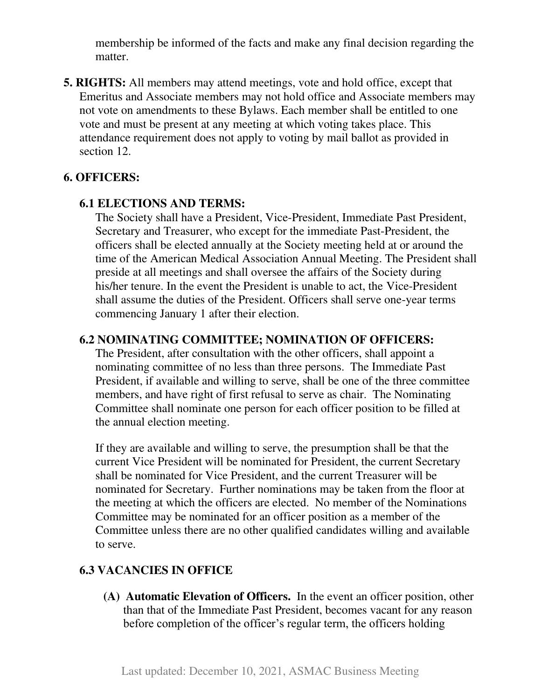membership be informed of the facts and make any final decision regarding the matter.

**5. RIGHTS:** All members may attend meetings, vote and hold office, except that Emeritus and Associate members may not hold office and Associate members may not vote on amendments to these Bylaws. Each member shall be entitled to one vote and must be present at any meeting at which voting takes place. This attendance requirement does not apply to voting by mail ballot as provided in section 12.

#### **6. OFFICERS:**

#### **6.1 ELECTIONS AND TERMS:**

The Society shall have a President, Vice-President, Immediate Past President, Secretary and Treasurer, who except for the immediate Past-President, the officers shall be elected annually at the Society meeting held at or around the time of the American Medical Association Annual Meeting. The President shall preside at all meetings and shall oversee the affairs of the Society during his/her tenure. In the event the President is unable to act, the Vice-President shall assume the duties of the President. Officers shall serve one-year terms commencing January 1 after their election.

#### **6.2 NOMINATING COMMITTEE; NOMINATION OF OFFICERS:**

The President, after consultation with the other officers, shall appoint a nominating committee of no less than three persons. The Immediate Past President, if available and willing to serve, shall be one of the three committee members, and have right of first refusal to serve as chair. The Nominating Committee shall nominate one person for each officer position to be filled at the annual election meeting.

If they are available and willing to serve, the presumption shall be that the current Vice President will be nominated for President, the current Secretary shall be nominated for Vice President, and the current Treasurer will be nominated for Secretary. Further nominations may be taken from the floor at the meeting at which the officers are elected. No member of the Nominations Committee may be nominated for an officer position as a member of the Committee unless there are no other qualified candidates willing and available to serve.

### **6.3 VACANCIES IN OFFICE**

**(A) Automatic Elevation of Officers.** In the event an officer position, other than that of the Immediate Past President, becomes vacant for any reason before completion of the officer's regular term, the officers holding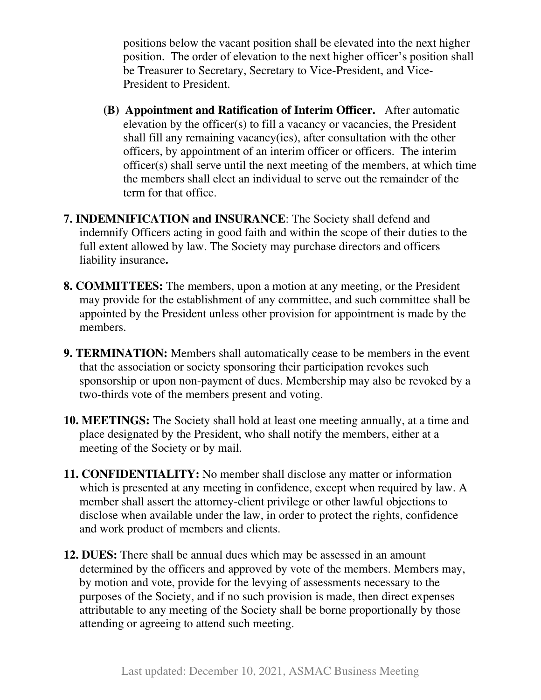positions below the vacant position shall be elevated into the next higher position. The order of elevation to the next higher officer's position shall be Treasurer to Secretary, Secretary to Vice-President, and Vice-President to President.

- **(B) Appointment and Ratification of Interim Officer.** After automatic elevation by the officer(s) to fill a vacancy or vacancies, the President shall fill any remaining vacancy(ies), after consultation with the other officers, by appointment of an interim officer or officers. The interim officer(s) shall serve until the next meeting of the members, at which time the members shall elect an individual to serve out the remainder of the term for that office.
- **7. INDEMNIFICATION and INSURANCE**: The Society shall defend and indemnify Officers acting in good faith and within the scope of their duties to the full extent allowed by law. The Society may purchase directors and officers liability insurance**.**
- **8. COMMITTEES:** The members, upon a motion at any meeting, or the President may provide for the establishment of any committee, and such committee shall be appointed by the President unless other provision for appointment is made by the members.
- **9. TERMINATION:** Members shall automatically cease to be members in the event that the association or society sponsoring their participation revokes such sponsorship or upon non-payment of dues. Membership may also be revoked by a two-thirds vote of the members present and voting.
- **10. MEETINGS:** The Society shall hold at least one meeting annually, at a time and place designated by the President, who shall notify the members, either at a meeting of the Society or by mail.
- **11. CONFIDENTIALITY:** No member shall disclose any matter or information which is presented at any meeting in confidence, except when required by law. A member shall assert the attorney-client privilege or other lawful objections to disclose when available under the law, in order to protect the rights, confidence and work product of members and clients.
- **12. DUES:** There shall be annual dues which may be assessed in an amount determined by the officers and approved by vote of the members. Members may, by motion and vote, provide for the levying of assessments necessary to the purposes of the Society, and if no such provision is made, then direct expenses attributable to any meeting of the Society shall be borne proportionally by those attending or agreeing to attend such meeting.